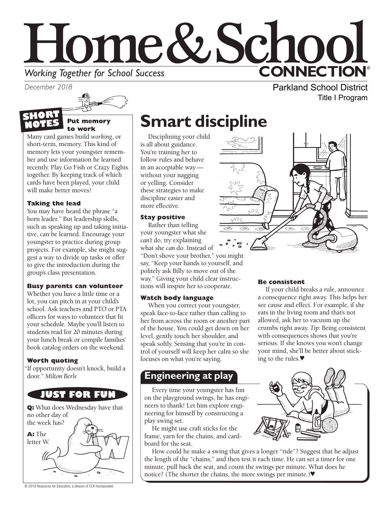



#### **Put memory to work SHORT NOTES**

Many card games build *working*, or short-term, memory. This kind of memory lets your youngster remember and use information he learned recently. Play Go Fish or Crazy Eights together. By keeping track of which cards have been played, your child will make better moves!

### **Taking the lead**

You may have heard the phrase "a born leader." But leadership skills, such as speaking up and taking initiative, can be learned. Encourage your youngster to practice during group projects. For example, she might suggest a way to divide up tasks or offer to give the introduction during the group's class presentation.

#### **Busy parents can volunteer**

Whether you have a little time or a lot, you can pitch in at your child's school. Ask teachers and PTO or PTA officers for ways to volunteer that fit your schedule. Maybe you'll listen to students read for 20 minutes during your lunch break or compile families' book catalog orders on the weekend.

#### **Worth quoting**

"If opportunity doesn't knock, build a door." *Milton Berle* 



# **Smart discipline**

Disciplining your child is all about guidance. You're training her to follow rules and behave in an acceptable way without your nagging or yelling. Consider these strategies to make discipline easier and more effective.

#### **Stay positive**

Rather than telling your youngster what she *can't* do, try explaining what she *can* do. Instead of "Don't shove your brother," you might say, "Keep your hands to yourself, and politely ask Billy to move out of the way." Giving your child clear instructions will inspire her to cooperate.

#### **Watch body language**

When you correct your youngster, speak face-to-face rather than calling to her from across the room or another part of the house. You could get down on her level, gently touch her shoulder, and speak softly. Sensing that you're in control of yourself will keep her calm so she focuses on what you're saying.

### **Engineering at play**

Every time your youngster has fun on the playground swings, he has engineers to thank! Let him explore engineering for himself by constructing a play swing set.

He might use craft sticks for the frame, yarn for the chains, and cardboard for the seat.

How could he make a swing that gives a longer "ride"? Suggest that he adjust the length of the "chains," and then test it each time. He can set a timer for one minute, pull back the seat, and count the swings per minute. What does he notice? (The shorter the chains, the more swings per minute.)♥



Title I Program

#### **Be consistent**

If your child breaks a rule, announce a consequence right away. This helps her see cause and effect. For example, if she eats in the living room and that's not allowed, ask her to vacuum up the crumbs right away. *Tip:* Being consistent with consequences shows that you're serious. If she knows you won't change your mind, she'll be better about sticking to the rules.♥